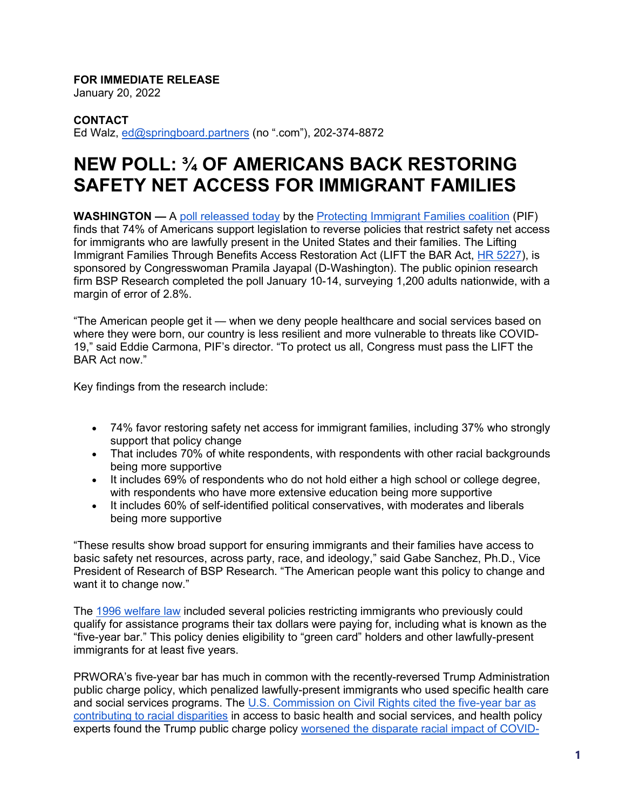## **FOR IMMEDIATE RELEASE**

January 20, 2022

## **CONTACT**

Ed Walz, [ed@springboard.partners](mailto:ed@springboard.partners) (no ".com"), 202-374-8872

## **NEW POLL: ¾ OF AMERICANS BACK RESTORING SAFETY NET ACCESS FOR IMMIGRANT FAMILIES**

**WASHINGTON —** A [poll releassed today](https://protectingimmigrantfamilies.org/wp-content/uploads/2022/01/PIF-LTBA-Poll.pdf) by the [Protecting Immigrant Families coalition](https://protectingimmigrantfamilies.org/) (PIF) finds that 74% of Americans support legislation to reverse policies that restrict safety net access for immigrants who are lawfully present in the United States and their families. The Lifting Immigrant Families Through Benefits Access Restoration Act (LIFT the BAR Act, [HR 5227\)](https://www.congress.gov/bill/117th-congress/house-bill/5227/cosponsors?r=4&s=1), is sponsored by Congresswoman Pramila Jayapal (D-Washington). The public opinion research firm BSP Research completed the poll January 10-14, surveying 1,200 adults nationwide, with a margin of error of 2.8%.

"The American people get it — when we deny people healthcare and social services based on where they were born, our country is less resilient and more vulnerable to threats like COVID-19," said Eddie Carmona, PIF's director. "To protect us all, Congress must pass the LIFT the BAR Act now."

Key findings from the research include:

- 74% favor restoring safety net access for immigrant families, including 37% who strongly support that policy change
- That includes 70% of white respondents, with respondents with other racial backgrounds being more supportive
- It includes 69% of respondents who do not hold either a high school or college degree, with respondents who have more extensive education being more supportive
- It includes 60% of self-identified political conservatives, with moderates and liberals being more supportive

"These results show broad support for ensuring immigrants and their families have access to basic safety net resources, across party, race, and ideology," said Gabe Sanchez, Ph.D., Vice President of Research of BSP Research. "The American people want this policy to change and want it to change now."

The [1996 welfare law](https://www.georgetownpoverty.org/issues/lasting-legacy-of-exclusion/) included several policies restricting immigrants who previously could qualify for assistance programs their tax dollars were paying for, including what is known as the "five-year bar." This policy denies eligibility to "green card" holders and other lawfully-present immigrants for at least five years.

PRWORA's five-year bar has much in common with the recently-reversed Trump Administration public charge policy, which penalized lawfully-present immigrants who used specific health care and social services programs. The [U.S. Commission on Civil Rights cited the five-year bar as](https://www.usccr.gov/pubs/prwora/welfare.htm)  [contributing to racial disparities](https://www.usccr.gov/pubs/prwora/welfare.htm) in access to basic health and social services, and health policy experts found the Trump public charge policy [worsened the disparate racial impact of COVID-](https://read.dukeupress.edu/jhppl/article/doi/10.1215/03616878-9155963/172242/How-the-Trump-Administration-s-Pandemic-Health)